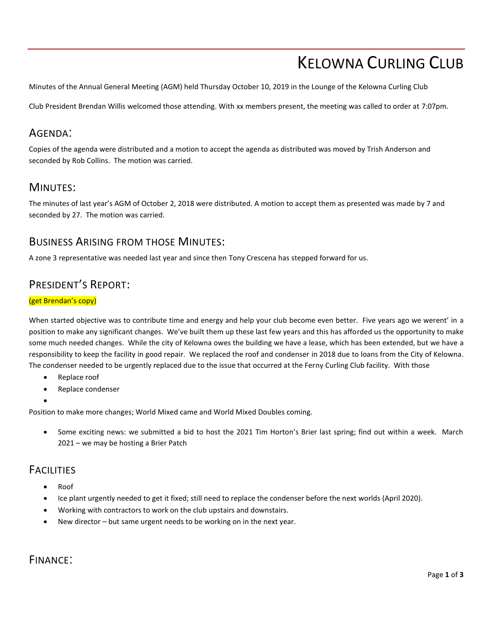# KELOWNA CURLING CLUB

Minutes of the Annual General Meeting (AGM) held Thursday October 10, 2019 in the Lounge of the Kelowna Curling Club

Club President Brendan Willis welcomed those attending. With xx members present, the meeting was called to order at 7:07pm.

## AGENDA:

Copies of the agenda were distributed and a motion to accept the agenda as distributed was moved by Trish Anderson and seconded by Rob Collins. The motion was carried.

### MINUTES:

The minutes of last year's AGM of October 2, 2018 were distributed. A motion to accept them as presented was made by 7 and seconded by 27. The motion was carried.

#### BUSINESS ARISING FROM THOSE MINUTES:

A zone 3 representative was needed last year and since then Tony Crescena has stepped forward for us.

## PRESIDENT'S REPORT:

#### (get Brendan's copy)

When started objective was to contribute time and energy and help your club become even better. Five years ago we werent' in a position to make any significant changes. We've built them up these last few years and this has afforded us the opportunity to make some much needed changes. While the city of Kelowna owes the building we have a lease, which has been extended, but we have a responsibility to keep the facility in good repair. We replaced the roof and condenser in 2018 due to loans from the City of Kelowna. The condenser needed to be urgently replaced due to the issue that occurred at the Ferny Curling Club facility. With those

- Replace roof
- Replace condenser
- •

Position to make more changes; World Mixed came and World Mixed Doubles coming.

• Some exciting news: we submitted a bid to host the 2021 Tim Horton's Brier last spring; find out within a week. March 2021 – we may be hosting a Brier Patch

### **FACILITIES**

- Roof
- Ice plant urgently needed to get it fixed; still need to replace the condenser before the next worlds (April 2020).
- Working with contractors to work on the club upstairs and downstairs.
- New director but same urgent needs to be working on in the next year.

#### FINANCE: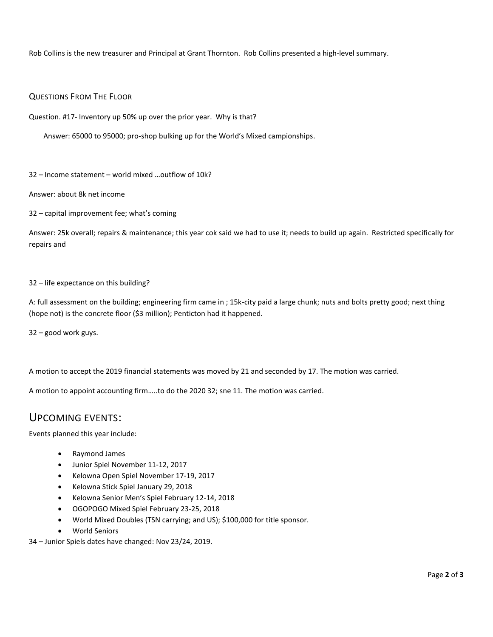Rob Collins is the new treasurer and Principal at Grant Thornton. Rob Collins presented a high-level summary.

#### QUESTIONS FROM THE FLOOR

Question. #17- Inventory up 50% up over the prior year. Why is that?

Answer: 65000 to 95000; pro-shop bulking up for the World's Mixed campionships.

32 – Income statement – world mixed …outflow of 10k?

Answer: about 8k net income

32 – capital improvement fee; what's coming

Answer: 25k overall; repairs & maintenance; this year cok said we had to use it; needs to build up again. Restricted specifically for repairs and

#### 32 – life expectance on this building?

A: full assessment on the building; engineering firm came in ; 15k-city paid a large chunk; nuts and bolts pretty good; next thing (hope not) is the concrete floor (\$3 million); Penticton had it happened.

32 – good work guys.

A motion to accept the 2019 financial statements was moved by 21 and seconded by 17. The motion was carried.

A motion to appoint accounting firm…..to do the 2020 32; sne 11. The motion was carried.

#### UPCOMING EVENTS:

Events planned this year include:

- Raymond James
- Junior Spiel November 11-12, 2017
- Kelowna Open Spiel November 17-19, 2017
- Kelowna Stick Spiel January 29, 2018
- Kelowna Senior Men's Spiel February 12-14, 2018
- OGOPOGO Mixed Spiel February 23-25, 2018
- World Mixed Doubles (TSN carrying; and US); \$100,000 for title sponsor.
- World Seniors

34 – Junior Spiels dates have changed: Nov 23/24, 2019.